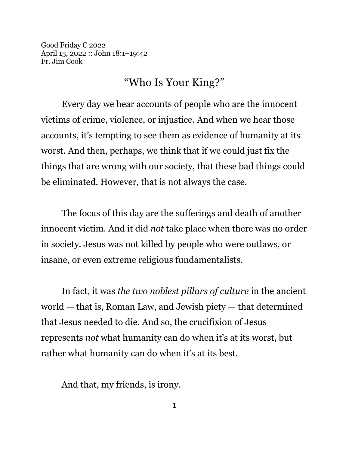Good Friday C 2022 April 15, 2022 :: John 18:1–19:42 Fr. Jim Cook

## "Who Is Your King?"

Every day we hear accounts of people who are the innocent victims of crime, violence, or injustice. And when we hear those accounts, it's tempting to see them as evidence of humanity at its worst. And then, perhaps, we think that if we could just fix the things that are wrong with our society, that these bad things could be eliminated. However, that is not always the case.

The focus of this day are the sufferings and death of another innocent victim. And it did *not* take place when there was no order in society. Jesus was not killed by people who were outlaws, or insane, or even extreme religious fundamentalists.

In fact, it was *the two noblest pillars of culture* in the ancient world — that is, Roman Law, and Jewish piety — that determined that Jesus needed to die. And so, the crucifixion of Jesus represents *not* what humanity can do when it's at its worst, but rather what humanity can do when it's at its best.

And that, my friends, is irony.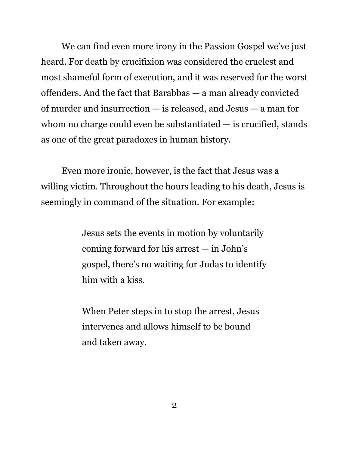We can find even more irony in the Passion Gospel we've just heard. For death by crucifixion was considered the cruelest and most shameful form of execution, and it was reserved for the worst offenders. And the fact that Barabbas — a man already convicted of murder and insurrection — is released, and Jesus — a man for whom no charge could even be substantiated  $-$  is crucified, stands as one of the great paradoxes in human history.

Even more ironic, however, is the fact that Jesus was a willing victim. Throughout the hours leading to his death, Jesus is seemingly in command of the situation. For example:

> Jesus sets the events in motion by voluntarily coming forward for his arrest — in John's gospel, there's no waiting for Judas to identify him with a kiss.

When Peter steps in to stop the arrest, Jesus intervenes and allows himself to be bound and taken away.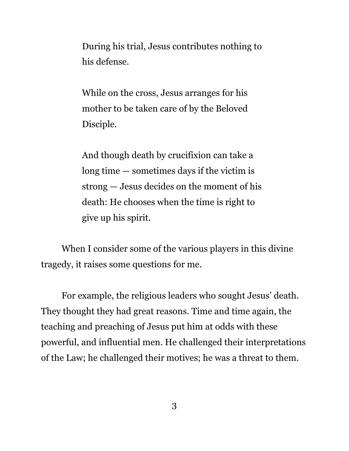During his trial, Jesus contributes nothing to his defense.

While on the cross, Jesus arranges for his mother to be taken care of by the Beloved Disciple.

And though death by crucifixion can take a long time — sometimes days if the victim is strong — Jesus decides on the moment of his death: He chooses when the time is right to give up his spirit.

When I consider some of the various players in this divine tragedy, it raises some questions for me.

For example, the religious leaders who sought Jesus' death. They thought they had great reasons. Time and time again, the teaching and preaching of Jesus put him at odds with these powerful, and influential men. He challenged their interpretations of the Law; he challenged their motives; he was a threat to them.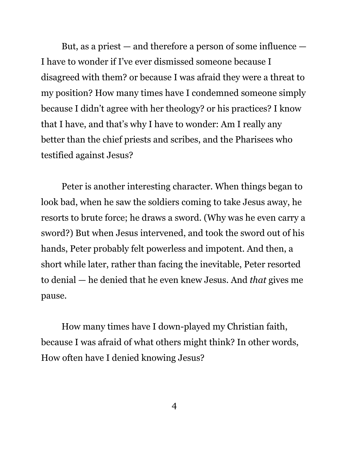But, as a priest — and therefore a person of some influence — I have to wonder if I've ever dismissed someone because I disagreed with them? or because I was afraid they were a threat to my position? How many times have I condemned someone simply because I didn't agree with her theology? or his practices? I know that I have, and that's why I have to wonder: Am I really any better than the chief priests and scribes, and the Pharisees who testified against Jesus?

Peter is another interesting character. When things began to look bad, when he saw the soldiers coming to take Jesus away, he resorts to brute force; he draws a sword. (Why was he even carry a sword?) But when Jesus intervened, and took the sword out of his hands, Peter probably felt powerless and impotent. And then, a short while later, rather than facing the inevitable, Peter resorted to denial — he denied that he even knew Jesus. And *that* gives me pause.

How many times have I down-played my Christian faith, because I was afraid of what others might think? In other words, How often have I denied knowing Jesus?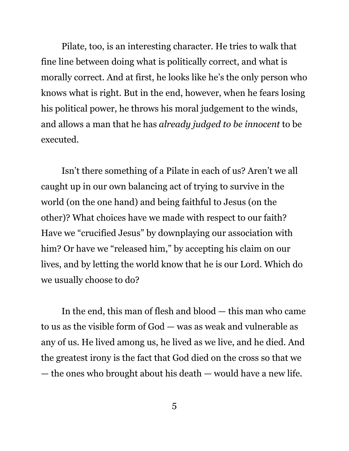Pilate, too, is an interesting character. He tries to walk that fine line between doing what is politically correct, and what is morally correct. And at first, he looks like he's the only person who knows what is right. But in the end, however, when he fears losing his political power, he throws his moral judgement to the winds, and allows a man that he has *already judged to be innocent* to be executed.

Isn't there something of a Pilate in each of us? Aren't we all caught up in our own balancing act of trying to survive in the world (on the one hand) and being faithful to Jesus (on the other)? What choices have we made with respect to our faith? Have we "crucified Jesus" by downplaying our association with him? Or have we "released him," by accepting his claim on our lives, and by letting the world know that he is our Lord. Which do we usually choose to do?

In the end, this man of flesh and blood — this man who came to us as the visible form of God — was as weak and vulnerable as any of us. He lived among us, he lived as we live, and he died. And the greatest irony is the fact that God died on the cross so that we — the ones who brought about his death — would have a new life.